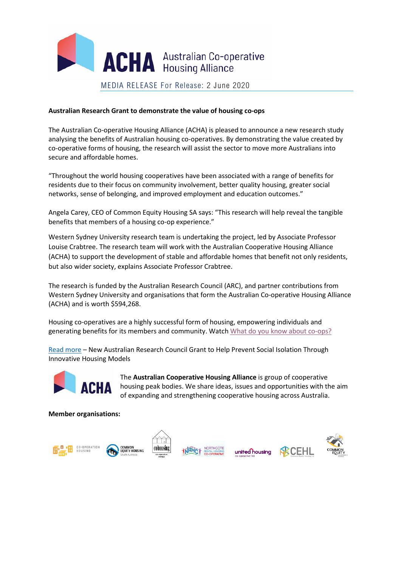

## **Australian Research Grant to demonstrate the value of housing co-ops**

The Australian Co-operative Housing Alliance (ACHA) is pleased to announce a new research study analysing the benefits of Australian housing co-operatives. By demonstrating the value created by co-operative forms of housing, the research will assist the sector to move more Australians into secure and affordable homes.

"Throughout the world housing cooperatives have been associated with a range of benefits for residents due to their focus on community involvement, better quality housing, greater social networks, sense of belonging, and improved employment and education outcomes."

Angela Carey, CEO of Common Equity Housing SA says: "This research will help reveal the tangible benefits that members of a housing co-op experience."

Western Sydney University research team is undertaking the project, led by Associate Professor Louise Crabtree. The research team will work with the Australian Cooperative Housing Alliance (ACHA) to support the development of stable and affordable homes that benefit not only residents, but also wider society, explains Associate Professor Crabtree.

The research is funded by the Australian Research Council (ARC), and partner contributions from Western Sydney University and organisations that form the Australian Co-operative Housing Alliance (ACHA) and is worth \$594,268.

Housing co-operatives are a highly successful form of housing, empowering individuals and generating benefits for its members and community. Watch [What do you know about co-ops?](https://youtu.be/TcMSYwxWwhk)

[Read more](https://www.westernsydney.edu.au/newscentre/news_centre/more_news_stories/new_australian_research_council_grant_to_help_prevent_social_isolation_through_innovative_housing_models) – New Australian Research Council Grant to Help Prevent Social Isolation Through Innovative Housing Models



The **Australian Cooperative Housing Alliance** is group of cooperative housing peak bodies. We share ideas, issues and opportunities with the aim of expanding and strengthening cooperative housing across Australia.

**Member organisations:**